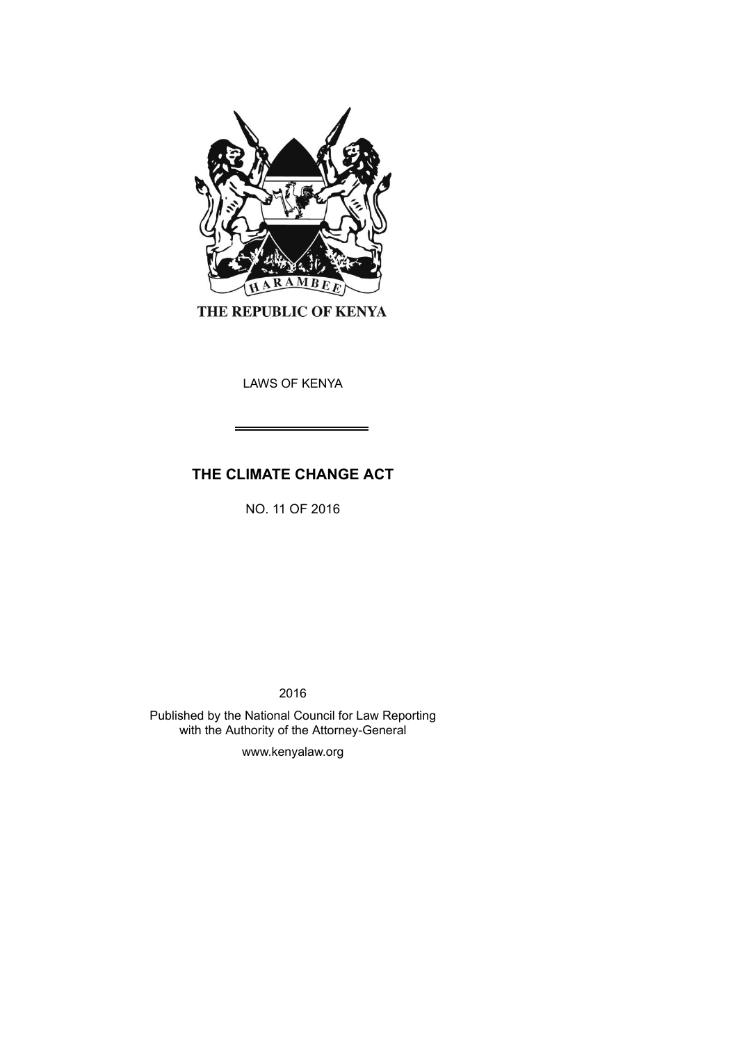

THE REPUBLIC OF KENYA

LAWS OF KENYA

# **THE CLIMATE CHANGE ACT**

NO. 11 OF 2016

2016

Published by the National Council for Law Reporting with the Authority of the Attorney-General

www.kenyalaw.org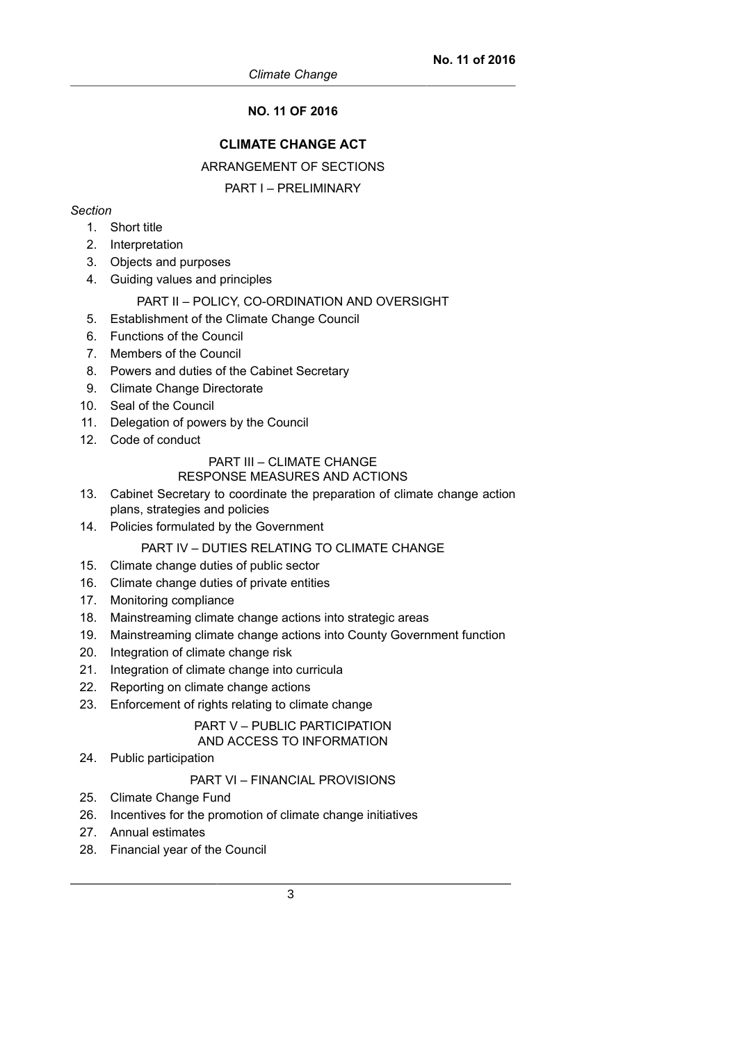# **NO. 11 OF 2016**

# **CLIMATE CHANGE ACT**

### ARRANGEMENT OF SECTIONS

# PART I – PRELIMINARY

# *Section*

- 1. Short title
- 2. Interpretation
- 3. Objects and purposes
- 4. Guiding values and principles

# PART II – POLICY, CO-ORDINATION AND OVERSIGHT

- 5. Establishment of the Climate Change Council
- 6. Functions of the Council
- 7. Members of the Council
- 8. Powers and duties of the Cabinet Secretary
- 9. Climate Change Directorate
- 10. Seal of the Council
- 11. Delegation of powers by the Council
- 12. Code of conduct

# PART III – CLIMATE CHANGE

# RESPONSE MEASURES AND ACTIONS

- 13. Cabinet Secretary to coordinate the preparation of climate change action plans, strategies and policies
- 14. Policies formulated by the Government

### PART IV – DUTIES RELATING TO CLIMATE CHANGE

- 15. Climate change duties of public sector
- 16. Climate change duties of private entities
- 17. Monitoring compliance
- 18. Mainstreaming climate change actions into strategic areas
- 19. Mainstreaming climate change actions into County Government function
- 20. Integration of climate change risk
- 21. Integration of climate change into curricula
- 22. Reporting on climate change actions
- 23. Enforcement of rights relating to climate change

#### PART V – PUBLIC PARTICIPATION AND ACCESS TO INFORMATION

24. Public participation

# PART VI – FINANCIAL PROVISIONS

- 25. Climate Change Fund
- 26. Incentives for the promotion of climate change initiatives
- 27. Annual estimates
- 28. Financial year of the Council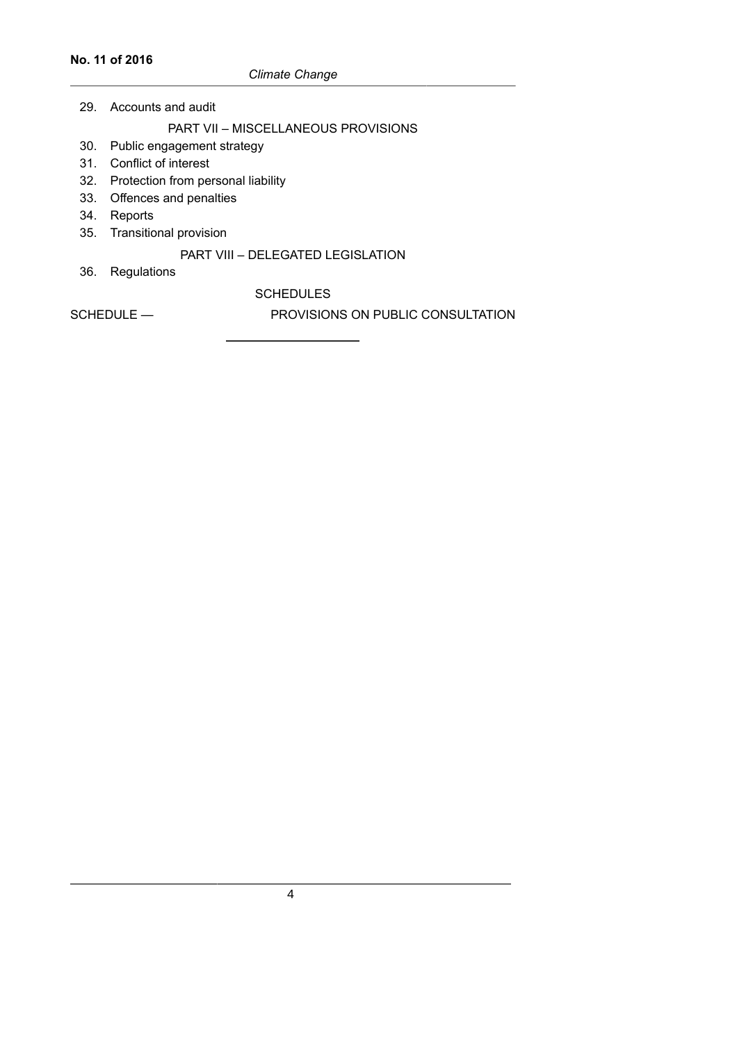29. Accounts and audit

# PART VII – MISCELLANEOUS PROVISIONS

- 30. Public engagement strategy
- 31. Conflict of interest
- 32. Protection from personal liability
- 33. Offences and penalties
- 34. Reports
- 35. Transitional provision

# PART VIII – DELEGATED LEGISLATION

36. Regulations

# **SCHEDULES**

SCHEDULE — PROVISIONS ON PUBLIC CONSULTATION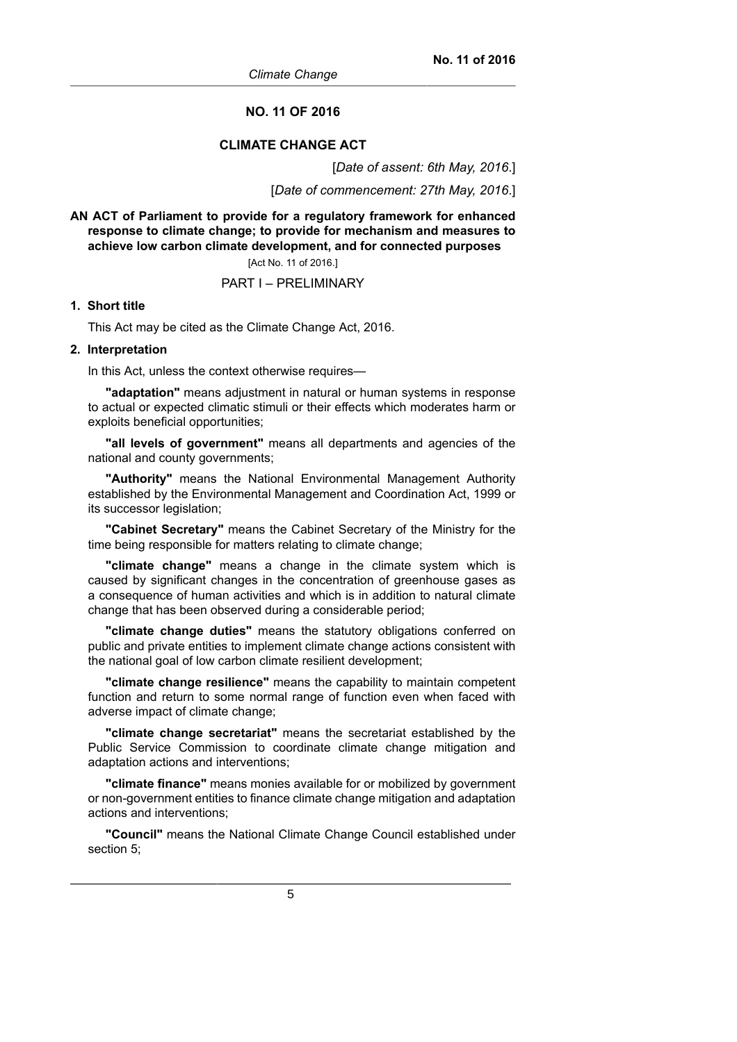#### **NO. 11 OF 2016**

# **CLIMATE CHANGE ACT**

[*Date of assent: 6th May, 2016*.]

[*Date of commencement: 27th May, 2016*.]

**AN ACT of Parliament to provide for a regulatory framework for enhanced response to climate change; to provide for mechanism and measures to achieve low carbon climate development, and for connected purposes**

[Act No. 11 of 2016.]

#### PART I – PRELIMINARY

#### **1. Short title**

This Act may be cited as the Climate Change Act, 2016.

#### **2. Interpretation**

In this Act, unless the context otherwise requires—

**"adaptation"** means adjustment in natural or human systems in response to actual or expected climatic stimuli or their effects which moderates harm or exploits beneficial opportunities;

**"all levels of government"** means all departments and agencies of the national and county governments;

**"Authority"** means the National Environmental Management Authority established by the Environmental Management and Coordination Act, 1999 or its successor legislation;

**"Cabinet Secretary"** means the Cabinet Secretary of the Ministry for the time being responsible for matters relating to climate change;

**"climate change"** means a change in the climate system which is caused by significant changes in the concentration of greenhouse gases as a consequence of human activities and which is in addition to natural climate change that has been observed during a considerable period;

**"climate change duties"** means the statutory obligations conferred on public and private entities to implement climate change actions consistent with the national goal of low carbon climate resilient development;

**"climate change resilience"** means the capability to maintain competent function and return to some normal range of function even when faced with adverse impact of climate change;

**"climate change secretariat"** means the secretariat established by the Public Service Commission to coordinate climate change mitigation and adaptation actions and interventions;

**"climate finance"** means monies available for or mobilized by government or non-government entities to finance climate change mitigation and adaptation actions and interventions;

**"Council"** means the National Climate Change Council established under section 5;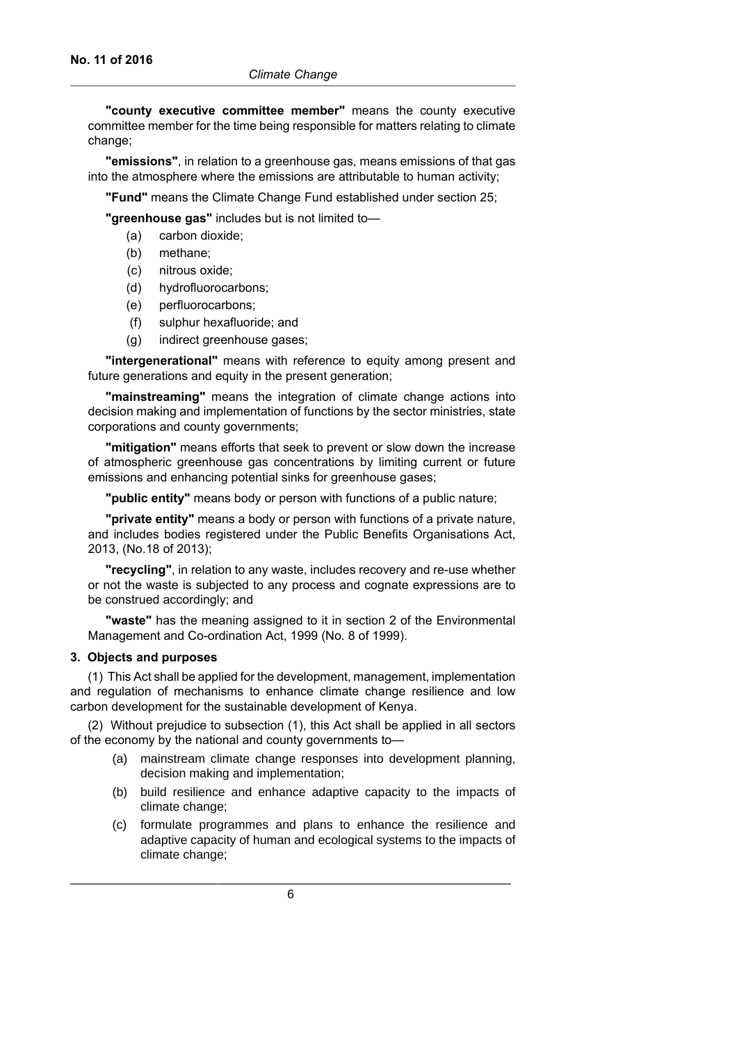**"county executive committee member"** means the county executive committee member for the time being responsible for matters relating to climate change;

**"emissions"**, in relation to a greenhouse gas, means emissions of that gas into the atmosphere where the emissions are attributable to human activity;

**"Fund"** means the Climate Change Fund established under section 25;

**"greenhouse gas"** includes but is not limited to—

- (a) carbon dioxide;
- (b) methane;
- (c) nitrous oxide;
- (d) hydrofluorocarbons;
- (e) perfluorocarbons;
- (f) sulphur hexafluoride; and
- (g) indirect greenhouse gases;

**"intergenerational"** means with reference to equity among present and future generations and equity in the present generation;

**"mainstreaming"** means the integration of climate change actions into decision making and implementation of functions by the sector ministries, state corporations and county governments;

**"mitigation"** means efforts that seek to prevent or slow down the increase of atmospheric greenhouse gas concentrations by limiting current or future emissions and enhancing potential sinks for greenhouse gases;

**"public entity"** means body or person with functions of a public nature;

**"private entity"** means a body or person with functions of a private nature, and includes bodies registered under the Public Benefits Organisations Act, 2013, (No.18 of 2013);

**"recycling"**, in relation to any waste, includes recovery and re-use whether or not the waste is subjected to any process and cognate expressions are to be construed accordingly; and

**"waste"** has the meaning assigned to it in section 2 of the Environmental Management and Co-ordination Act, 1999 (No. 8 of 1999).

### **3. Objects and purposes**

(1) This Act shall be applied for the development, management, implementation and regulation of mechanisms to enhance climate change resilience and low carbon development for the sustainable development of Kenya.

(2) Without prejudice to subsection (1), this Act shall be applied in all sectors of the economy by the national and county governments to—

- (a) mainstream climate change responses into development planning, decision making and implementation;
- (b) build resilience and enhance adaptive capacity to the impacts of climate change;
- (c) formulate programmes and plans to enhance the resilience and adaptive capacity of human and ecological systems to the impacts of climate change;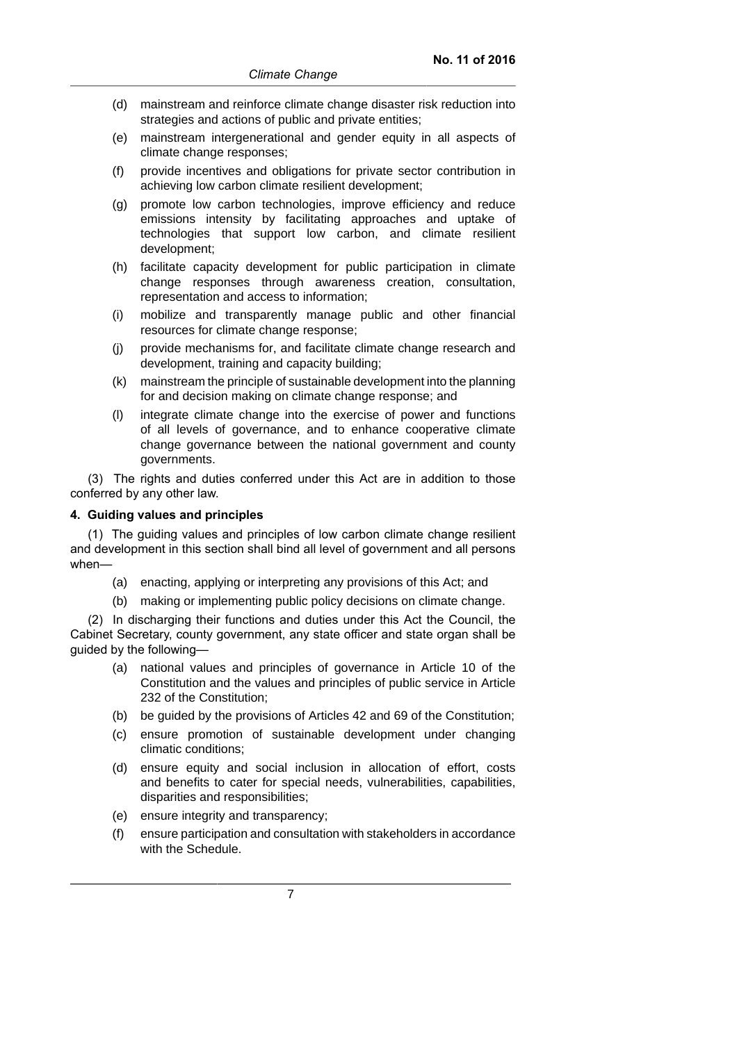- (d) mainstream and reinforce climate change disaster risk reduction into strategies and actions of public and private entities;
- (e) mainstream intergenerational and gender equity in all aspects of climate change responses;
- (f) provide incentives and obligations for private sector contribution in achieving low carbon climate resilient development;
- (g) promote low carbon technologies, improve efficiency and reduce emissions intensity by facilitating approaches and uptake of technologies that support low carbon, and climate resilient development;
- (h) facilitate capacity development for public participation in climate change responses through awareness creation, consultation, representation and access to information;
- (i) mobilize and transparently manage public and other financial resources for climate change response;
- (j) provide mechanisms for, and facilitate climate change research and development, training and capacity building;
- (k) mainstream the principle of sustainable development into the planning for and decision making on climate change response; and
- (l) integrate climate change into the exercise of power and functions of all levels of governance, and to enhance cooperative climate change governance between the national government and county governments.

(3) The rights and duties conferred under this Act are in addition to those conferred by any other law.

### **4. Guiding values and principles**

(1) The guiding values and principles of low carbon climate change resilient and development in this section shall bind all level of government and all persons when—

- (a) enacting, applying or interpreting any provisions of this Act; and
- (b) making or implementing public policy decisions on climate change.

(2) In discharging their functions and duties under this Act the Council, the Cabinet Secretary, county government, any state officer and state organ shall be guided by the following—

- (a) national values and principles of governance in Article 10 of the Constitution and the values and principles of public service in Article 232 of the Constitution;
- (b) be guided by the provisions of Articles 42 and 69 of the Constitution;
- (c) ensure promotion of sustainable development under changing climatic conditions;
- (d) ensure equity and social inclusion in allocation of effort, costs and benefits to cater for special needs, vulnerabilities, capabilities, disparities and responsibilities;
- (e) ensure integrity and transparency;
- (f) ensure participation and consultation with stakeholders in accordance with the Schedule.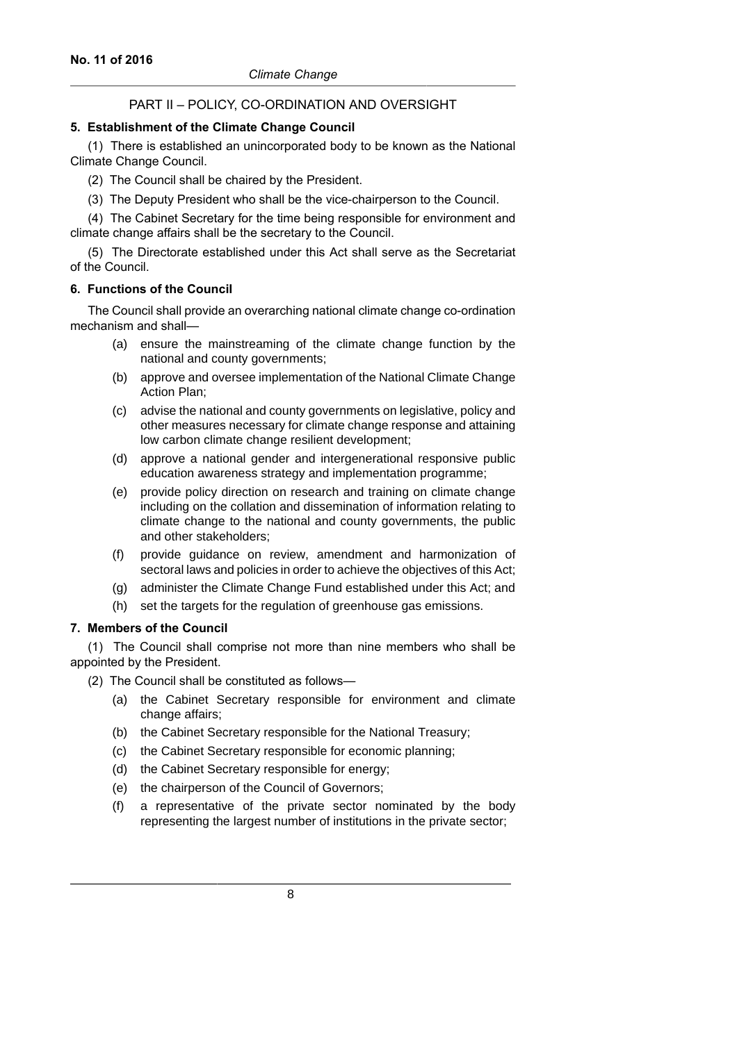### PART II – POLICY, CO-ORDINATION AND OVERSIGHT

### **5. Establishment of the Climate Change Council**

(1) There is established an unincorporated body to be known as the National Climate Change Council.

(2) The Council shall be chaired by the President.

(3) The Deputy President who shall be the vice-chairperson to the Council.

(4) The Cabinet Secretary for the time being responsible for environment and climate change affairs shall be the secretary to the Council.

(5) The Directorate established under this Act shall serve as the Secretariat of the Council.

### **6. Functions of the Council**

The Council shall provide an overarching national climate change co-ordination mechanism and shall—

- (a) ensure the mainstreaming of the climate change function by the national and county governments;
- (b) approve and oversee implementation of the National Climate Change Action Plan;
- (c) advise the national and county governments on legislative, policy and other measures necessary for climate change response and attaining low carbon climate change resilient development;
- (d) approve a national gender and intergenerational responsive public education awareness strategy and implementation programme;
- (e) provide policy direction on research and training on climate change including on the collation and dissemination of information relating to climate change to the national and county governments, the public and other stakeholders;
- (f) provide guidance on review, amendment and harmonization of sectoral laws and policies in order to achieve the objectives of this Act;
- (g) administer the Climate Change Fund established under this Act; and
- (h) set the targets for the regulation of greenhouse gas emissions.

### **7. Members of the Council**

(1) The Council shall comprise not more than nine members who shall be appointed by the President.

- (2) The Council shall be constituted as follows—
	- (a) the Cabinet Secretary responsible for environment and climate change affairs;
	- (b) the Cabinet Secretary responsible for the National Treasury;
	- (c) the Cabinet Secretary responsible for economic planning;
	- (d) the Cabinet Secretary responsible for energy;
	- (e) the chairperson of the Council of Governors;
	- (f) a representative of the private sector nominated by the body representing the largest number of institutions in the private sector;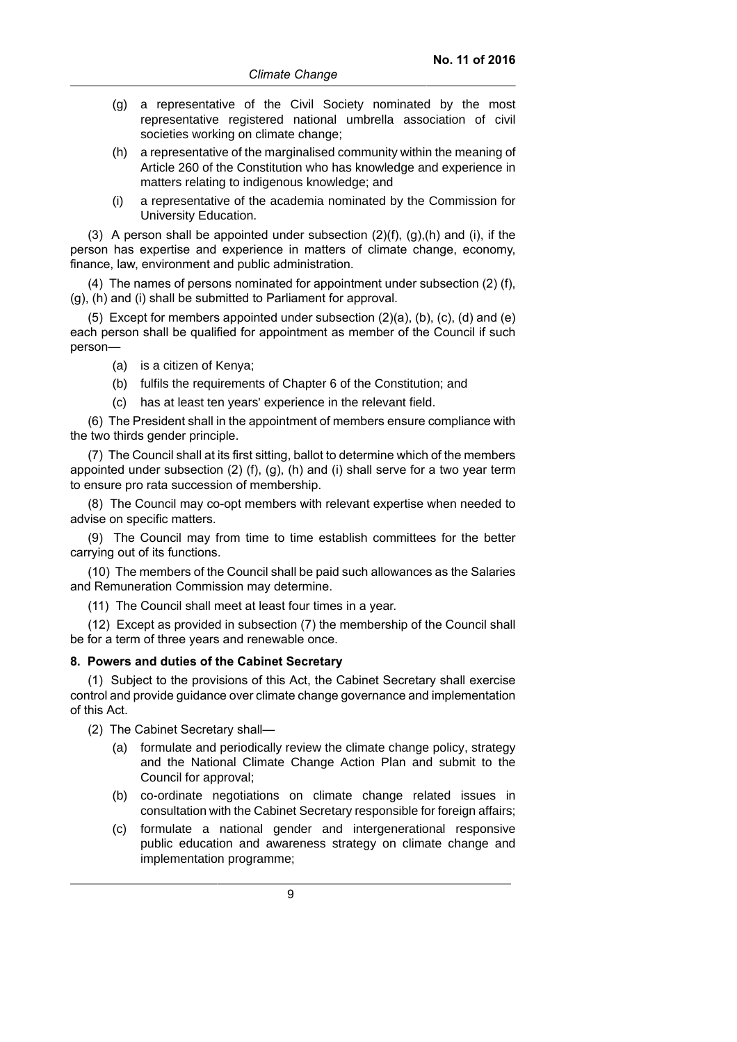- (g) a representative of the Civil Society nominated by the most representative registered national umbrella association of civil societies working on climate change:
- (h) a representative of the marginalised community within the meaning of Article 260 of the Constitution who has knowledge and experience in matters relating to indigenous knowledge; and
- (i) a representative of the academia nominated by the Commission for University Education.

(3) A person shall be appointed under subsection  $(2)(f)$ ,  $(g)$ ,  $(h)$  and  $(i)$ , if the person has expertise and experience in matters of climate change, economy, finance, law, environment and public administration.

(4) The names of persons nominated for appointment under subsection (2) (f), (g), (h) and (i) shall be submitted to Parliament for approval.

(5) Except for members appointed under subsection (2)(a), (b), (c), (d) and (e) each person shall be qualified for appointment as member of the Council if such person—

- (a) is a citizen of Kenya;
- (b) fulfils the requirements of Chapter 6 of the Constitution; and
- (c) has at least ten years' experience in the relevant field.

(6) The President shall in the appointment of members ensure compliance with the two thirds gender principle.

(7) The Council shall at its first sitting, ballot to determine which of the members appointed under subsection (2) (f), (g), (h) and (i) shall serve for a two year term to ensure pro rata succession of membership.

(8) The Council may co-opt members with relevant expertise when needed to advise on specific matters.

(9) The Council may from time to time establish committees for the better carrying out of its functions.

(10) The members of the Council shall be paid such allowances as the Salaries and Remuneration Commission may determine.

(11) The Council shall meet at least four times in a year.

(12) Except as provided in subsection (7) the membership of the Council shall be for a term of three years and renewable once.

#### **8. Powers and duties of the Cabinet Secretary**

(1) Subject to the provisions of this Act, the Cabinet Secretary shall exercise control and provide guidance over climate change governance and implementation of this Act.

(2) The Cabinet Secretary shall—

- (a) formulate and periodically review the climate change policy, strategy and the National Climate Change Action Plan and submit to the Council for approval;
- (b) co-ordinate negotiations on climate change related issues in consultation with the Cabinet Secretary responsible for foreign affairs;
- (c) formulate a national gender and intergenerational responsive public education and awareness strategy on climate change and implementation programme;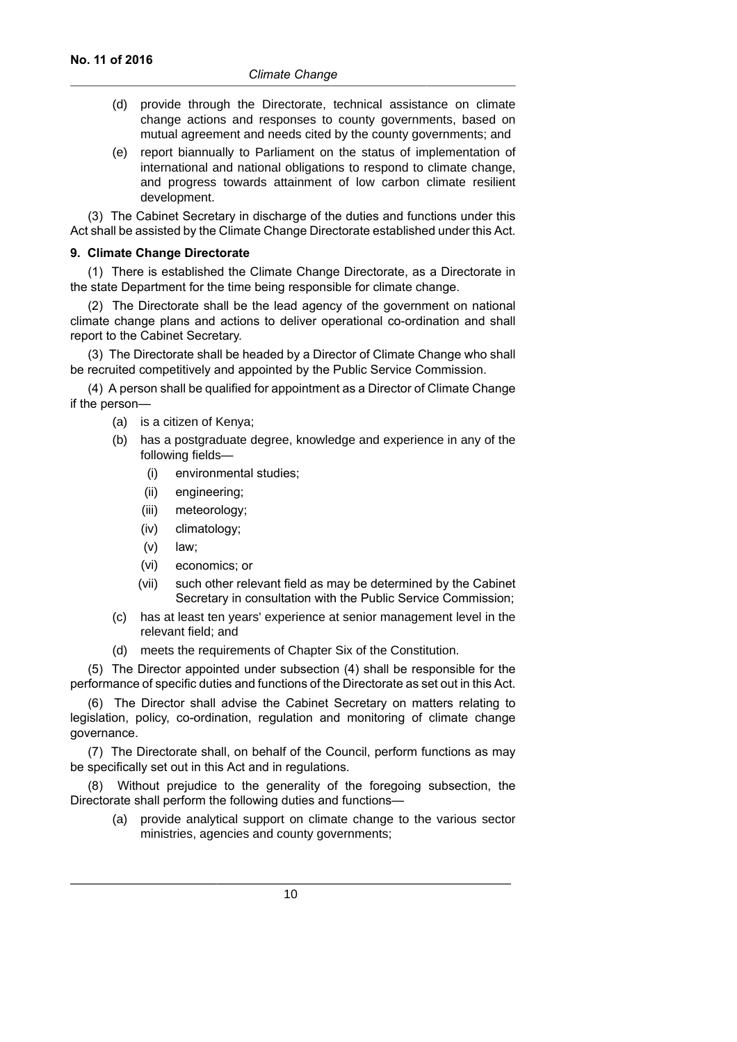- (d) provide through the Directorate, technical assistance on climate change actions and responses to county governments, based on mutual agreement and needs cited by the county governments; and
- (e) report biannually to Parliament on the status of implementation of international and national obligations to respond to climate change, and progress towards attainment of low carbon climate resilient development.

(3) The Cabinet Secretary in discharge of the duties and functions under this Act shall be assisted by the Climate Change Directorate established under this Act.

### **9. Climate Change Directorate**

(1) There is established the Climate Change Directorate, as a Directorate in the state Department for the time being responsible for climate change.

(2) The Directorate shall be the lead agency of the government on national climate change plans and actions to deliver operational co-ordination and shall report to the Cabinet Secretary.

(3) The Directorate shall be headed by a Director of Climate Change who shall be recruited competitively and appointed by the Public Service Commission.

(4) A person shall be qualified for appointment as a Director of Climate Change if the person—

- (a) is a citizen of Kenya;
- (b) has a postgraduate degree, knowledge and experience in any of the following fields—
	- (i) environmental studies;
	- (ii) engineering;
	- (iii) meteorology;
	- (iv) climatology;
	- (v) law;
	- (vi) economics; or
	- (vii) such other relevant field as may be determined by the Cabinet Secretary in consultation with the Public Service Commission;
- (c) has at least ten years' experience at senior management level in the relevant field; and
- (d) meets the requirements of Chapter Six of the Constitution.

(5) The Director appointed under subsection (4) shall be responsible for the performance of specific duties and functions of the Directorate as set out in this Act.

(6) The Director shall advise the Cabinet Secretary on matters relating to legislation, policy, co-ordination, regulation and monitoring of climate change governance.

(7) The Directorate shall, on behalf of the Council, perform functions as may be specifically set out in this Act and in regulations.

(8) Without prejudice to the generality of the foregoing subsection, the Directorate shall perform the following duties and functions—

(a) provide analytical support on climate change to the various sector ministries, agencies and county governments;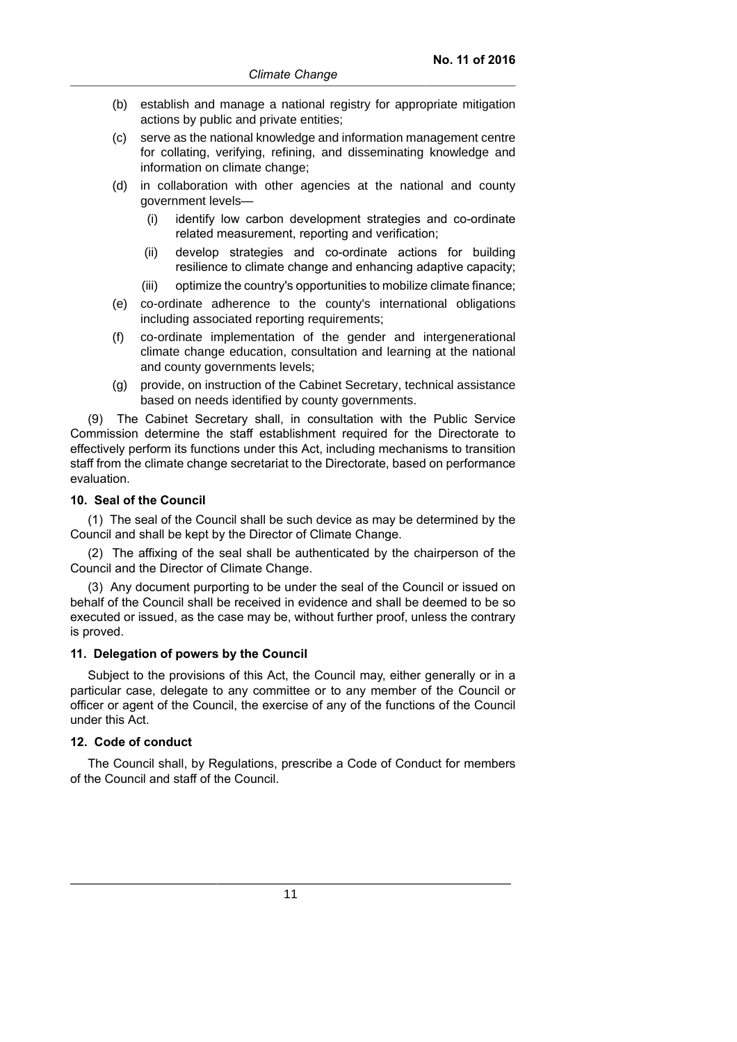- (b) establish and manage a national registry for appropriate mitigation actions by public and private entities;
- (c) serve as the national knowledge and information management centre for collating, verifying, refining, and disseminating knowledge and information on climate change;
- (d) in collaboration with other agencies at the national and county government levels—
	- (i) identify low carbon development strategies and co-ordinate related measurement, reporting and verification;
	- (ii) develop strategies and co-ordinate actions for building resilience to climate change and enhancing adaptive capacity;
	- (iii) optimize the country's opportunities to mobilize climate finance;
- (e) co-ordinate adherence to the county's international obligations including associated reporting requirements;
- (f) co-ordinate implementation of the gender and intergenerational climate change education, consultation and learning at the national and county governments levels;
- (g) provide, on instruction of the Cabinet Secretary, technical assistance based on needs identified by county governments.

(9) The Cabinet Secretary shall, in consultation with the Public Service Commission determine the staff establishment required for the Directorate to effectively perform its functions under this Act, including mechanisms to transition staff from the climate change secretariat to the Directorate, based on performance evaluation.

#### **10. Seal of the Council**

(1) The seal of the Council shall be such device as may be determined by the Council and shall be kept by the Director of Climate Change.

(2) The affixing of the seal shall be authenticated by the chairperson of the Council and the Director of Climate Change.

(3) Any document purporting to be under the seal of the Council or issued on behalf of the Council shall be received in evidence and shall be deemed to be so executed or issued, as the case may be, without further proof, unless the contrary is proved.

#### **11. Delegation of powers by the Council**

Subject to the provisions of this Act, the Council may, either generally or in a particular case, delegate to any committee or to any member of the Council or officer or agent of the Council, the exercise of any of the functions of the Council under this Act.

### **12. Code of conduct**

The Council shall, by Regulations, prescribe a Code of Conduct for members of the Council and staff of the Council.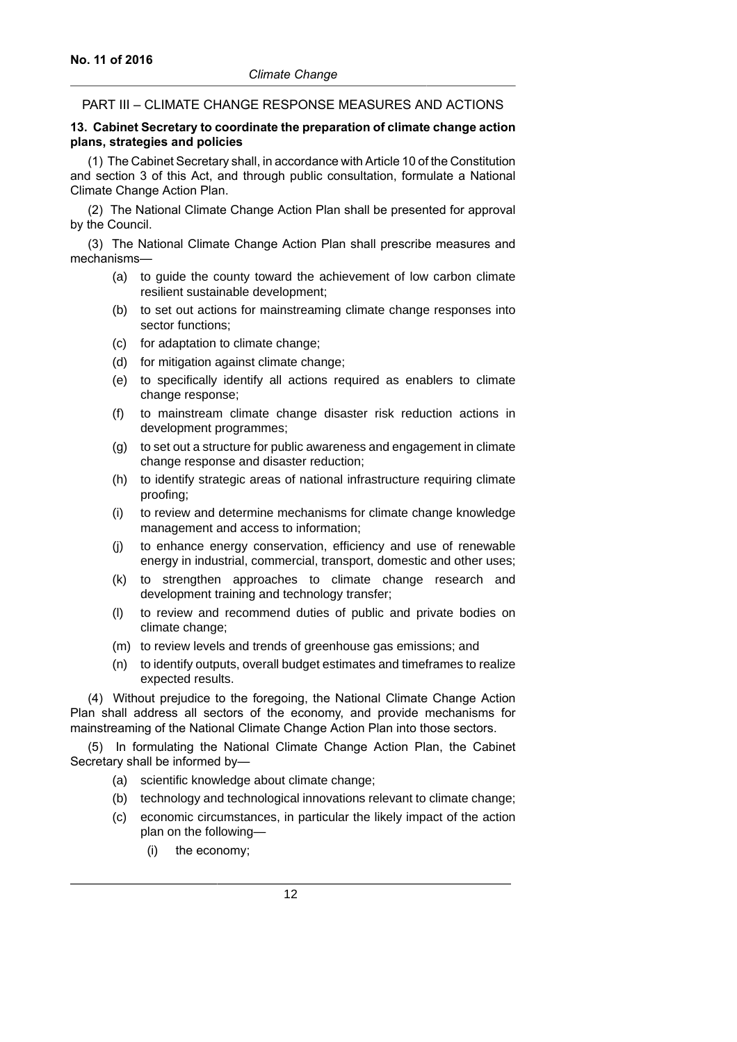### PART III – CLIMATE CHANGE RESPONSE MEASURES AND ACTIONS

### **13. Cabinet Secretary to coordinate the preparation of climate change action plans, strategies and policies**

(1) The Cabinet Secretary shall, in accordance with Article 10 of the Constitution and section 3 of this Act, and through public consultation, formulate a National Climate Change Action Plan.

(2) The National Climate Change Action Plan shall be presented for approval by the Council.

(3) The National Climate Change Action Plan shall prescribe measures and mechanisms—

- (a) to guide the county toward the achievement of low carbon climate resilient sustainable development;
- (b) to set out actions for mainstreaming climate change responses into sector functions;
- (c) for adaptation to climate change;
- (d) for mitigation against climate change;
- (e) to specifically identify all actions required as enablers to climate change response;
- (f) to mainstream climate change disaster risk reduction actions in development programmes;
- (g) to set out a structure for public awareness and engagement in climate change response and disaster reduction;
- (h) to identify strategic areas of national infrastructure requiring climate proofing;
- (i) to review and determine mechanisms for climate change knowledge management and access to information;
- (j) to enhance energy conservation, efficiency and use of renewable energy in industrial, commercial, transport, domestic and other uses;
- (k) to strengthen approaches to climate change research and development training and technology transfer;
- (l) to review and recommend duties of public and private bodies on climate change;
- (m) to review levels and trends of greenhouse gas emissions; and
- (n) to identify outputs, overall budget estimates and timeframes to realize expected results.

(4) Without prejudice to the foregoing, the National Climate Change Action Plan shall address all sectors of the economy, and provide mechanisms for mainstreaming of the National Climate Change Action Plan into those sectors.

(5) In formulating the National Climate Change Action Plan, the Cabinet Secretary shall be informed by—

- (a) scientific knowledge about climate change;
- (b) technology and technological innovations relevant to climate change;
- (c) economic circumstances, in particular the likely impact of the action plan on the following—
	- (i) the economy;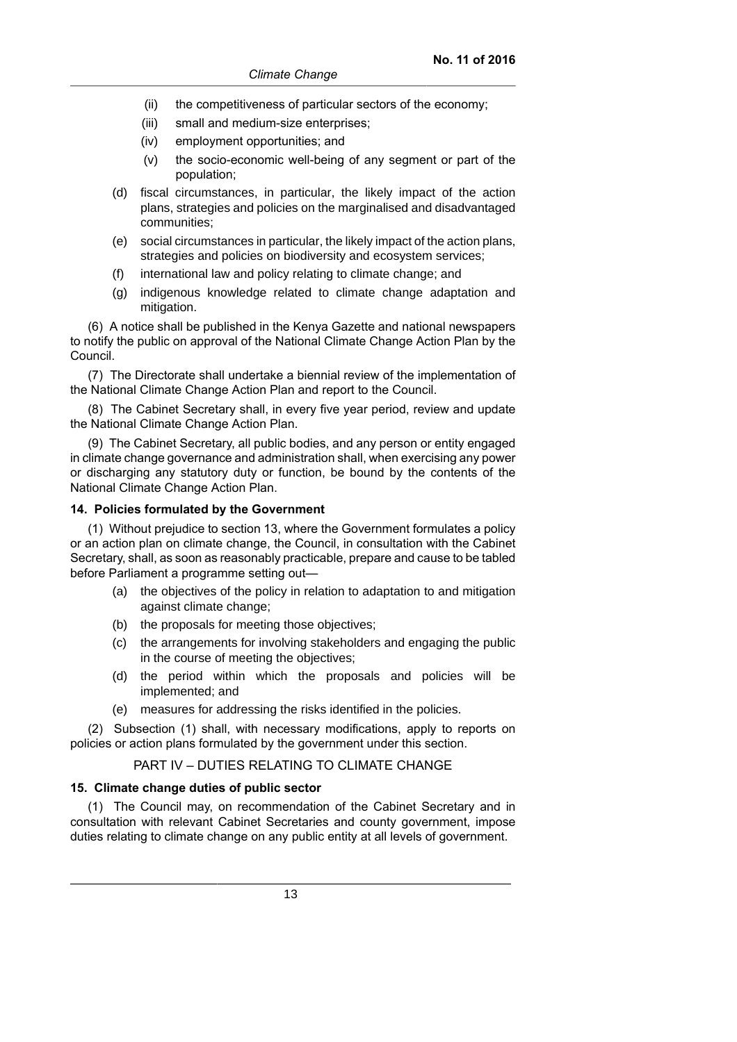- (ii) the competitiveness of particular sectors of the economy;
- (iii) small and medium-size enterprises;
- (iv) employment opportunities; and
- (v) the socio-economic well-being of any segment or part of the population;
- (d) fiscal circumstances, in particular, the likely impact of the action plans, strategies and policies on the marginalised and disadvantaged communities;
- (e) social circumstances in particular, the likely impact of the action plans, strategies and policies on biodiversity and ecosystem services;
- (f) international law and policy relating to climate change; and
- (g) indigenous knowledge related to climate change adaptation and mitigation.

(6) A notice shall be published in the Kenya Gazette and national newspapers to notify the public on approval of the National Climate Change Action Plan by the Council.

(7) The Directorate shall undertake a biennial review of the implementation of the National Climate Change Action Plan and report to the Council.

(8) The Cabinet Secretary shall, in every five year period, review and update the National Climate Change Action Plan.

(9) The Cabinet Secretary, all public bodies, and any person or entity engaged in climate change governance and administration shall, when exercising any power or discharging any statutory duty or function, be bound by the contents of the National Climate Change Action Plan.

### **14. Policies formulated by the Government**

(1) Without prejudice to section 13, where the Government formulates a policy or an action plan on climate change, the Council, in consultation with the Cabinet Secretary, shall, as soon as reasonably practicable, prepare and cause to be tabled before Parliament a programme setting out—

- (a) the objectives of the policy in relation to adaptation to and mitigation against climate change;
- (b) the proposals for meeting those objectives;
- (c) the arrangements for involving stakeholders and engaging the public in the course of meeting the objectives;
- (d) the period within which the proposals and policies will be implemented; and
- (e) measures for addressing the risks identified in the policies.

(2) Subsection (1) shall, with necessary modifications, apply to reports on policies or action plans formulated by the government under this section.

### PART IV – DUTIES RELATING TO CLIMATE CHANGE

#### **15. Climate change duties of public sector**

(1) The Council may, on recommendation of the Cabinet Secretary and in consultation with relevant Cabinet Secretaries and county government, impose duties relating to climate change on any public entity at all levels of government.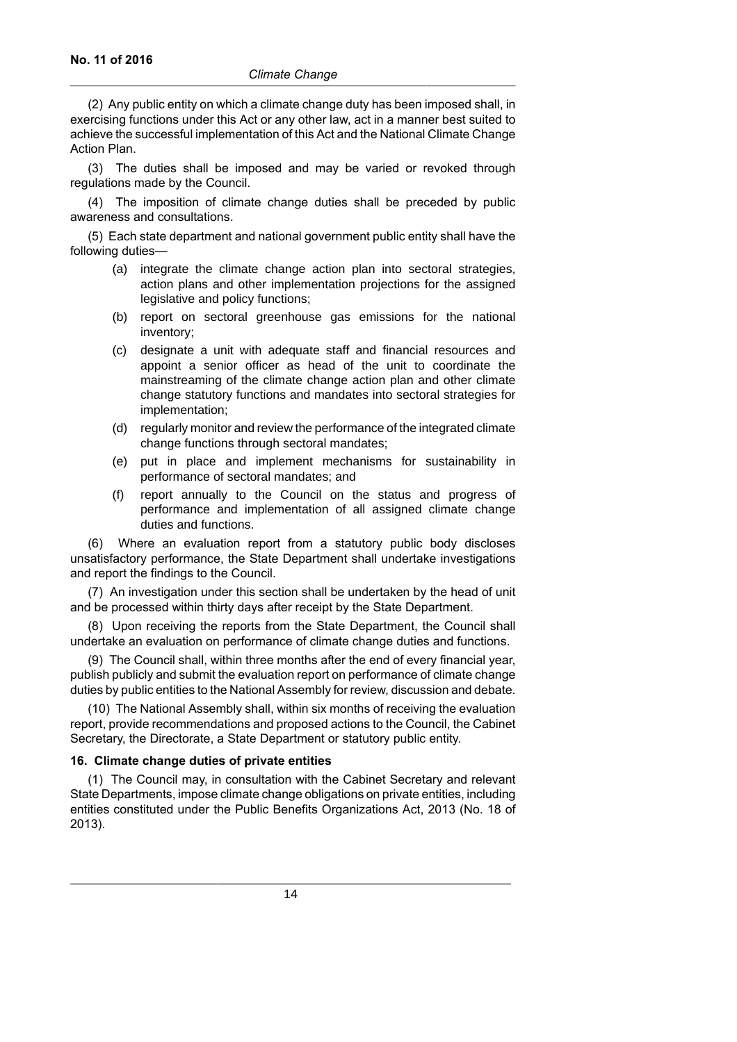(2) Any public entity on which a climate change duty has been imposed shall, in exercising functions under this Act or any other law, act in a manner best suited to achieve the successful implementation of this Act and the National Climate Change Action Plan.

(3) The duties shall be imposed and may be varied or revoked through regulations made by the Council.

(4) The imposition of climate change duties shall be preceded by public awareness and consultations.

(5) Each state department and national government public entity shall have the following duties—

- (a) integrate the climate change action plan into sectoral strategies, action plans and other implementation projections for the assigned legislative and policy functions;
- (b) report on sectoral greenhouse gas emissions for the national inventory;
- (c) designate a unit with adequate staff and financial resources and appoint a senior officer as head of the unit to coordinate the mainstreaming of the climate change action plan and other climate change statutory functions and mandates into sectoral strategies for implementation;
- (d) regularly monitor and review the performance of the integrated climate change functions through sectoral mandates;
- (e) put in place and implement mechanisms for sustainability in performance of sectoral mandates; and
- (f) report annually to the Council on the status and progress of performance and implementation of all assigned climate change duties and functions.

(6) Where an evaluation report from a statutory public body discloses unsatisfactory performance, the State Department shall undertake investigations and report the findings to the Council.

(7) An investigation under this section shall be undertaken by the head of unit and be processed within thirty days after receipt by the State Department.

(8) Upon receiving the reports from the State Department, the Council shall undertake an evaluation on performance of climate change duties and functions.

(9) The Council shall, within three months after the end of every financial year, publish publicly and submit the evaluation report on performance of climate change duties by public entities to the National Assembly for review, discussion and debate.

(10) The National Assembly shall, within six months of receiving the evaluation report, provide recommendations and proposed actions to the Council, the Cabinet Secretary, the Directorate, a State Department or statutory public entity.

#### **16. Climate change duties of private entities**

(1) The Council may, in consultation with the Cabinet Secretary and relevant State Departments, impose climate change obligations on private entities, including entities constituted under the Public Benefits Organizations Act, 2013 (No. 18 of 2013).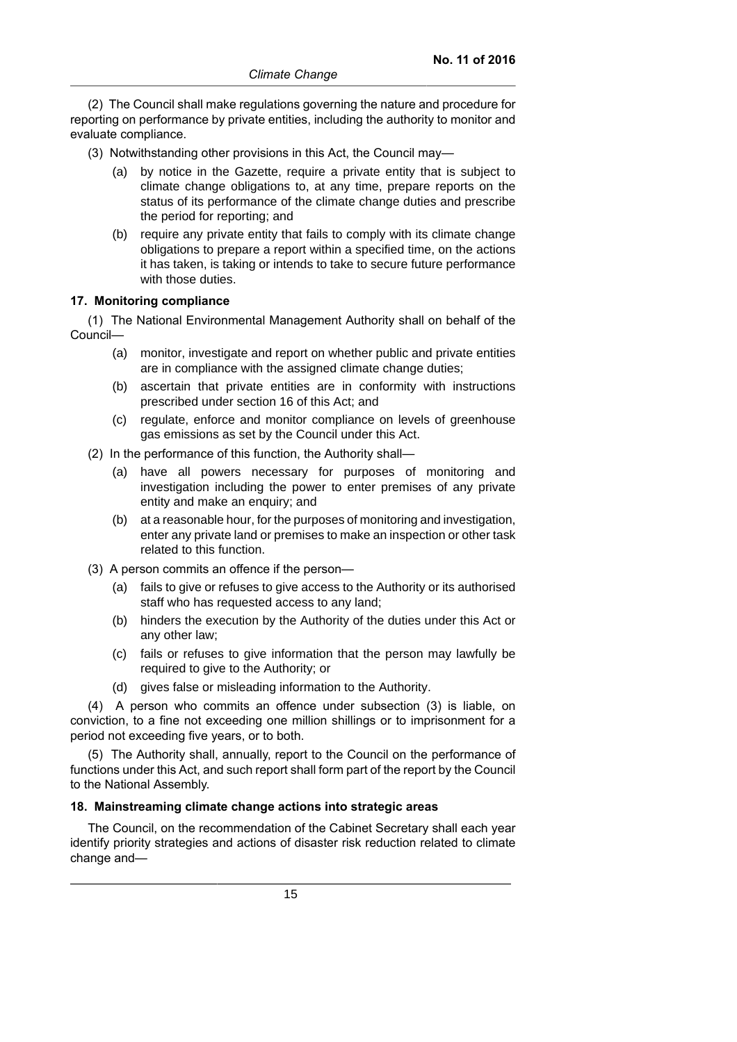(2) The Council shall make regulations governing the nature and procedure for reporting on performance by private entities, including the authority to monitor and evaluate compliance.

- (3) Notwithstanding other provisions in this Act, the Council may—
	- (a) by notice in the Gazette, require a private entity that is subject to climate change obligations to, at any time, prepare reports on the status of its performance of the climate change duties and prescribe the period for reporting; and
	- (b) require any private entity that fails to comply with its climate change obligations to prepare a report within a specified time, on the actions it has taken, is taking or intends to take to secure future performance with those duties.

#### **17. Monitoring compliance**

(1) The National Environmental Management Authority shall on behalf of the Council—

- (a) monitor, investigate and report on whether public and private entities are in compliance with the assigned climate change duties;
- (b) ascertain that private entities are in conformity with instructions prescribed under section 16 of this Act; and
- (c) regulate, enforce and monitor compliance on levels of greenhouse gas emissions as set by the Council under this Act.
- (2) In the performance of this function, the Authority shall—
	- (a) have all powers necessary for purposes of monitoring and investigation including the power to enter premises of any private entity and make an enquiry; and
	- (b) at a reasonable hour, for the purposes of monitoring and investigation, enter any private land or premises to make an inspection or other task related to this function.
- (3) A person commits an offence if the person—
	- (a) fails to give or refuses to give access to the Authority or its authorised staff who has requested access to any land;
	- (b) hinders the execution by the Authority of the duties under this Act or any other law;
	- (c) fails or refuses to give information that the person may lawfully be required to give to the Authority; or
	- (d) gives false or misleading information to the Authority.

(4) A person who commits an offence under subsection (3) is liable, on conviction, to a fine not exceeding one million shillings or to imprisonment for a period not exceeding five years, or to both.

(5) The Authority shall, annually, report to the Council on the performance of functions under this Act, and such report shall form part of the report by the Council to the National Assembly.

### **18. Mainstreaming climate change actions into strategic areas**

The Council, on the recommendation of the Cabinet Secretary shall each year identify priority strategies and actions of disaster risk reduction related to climate change and—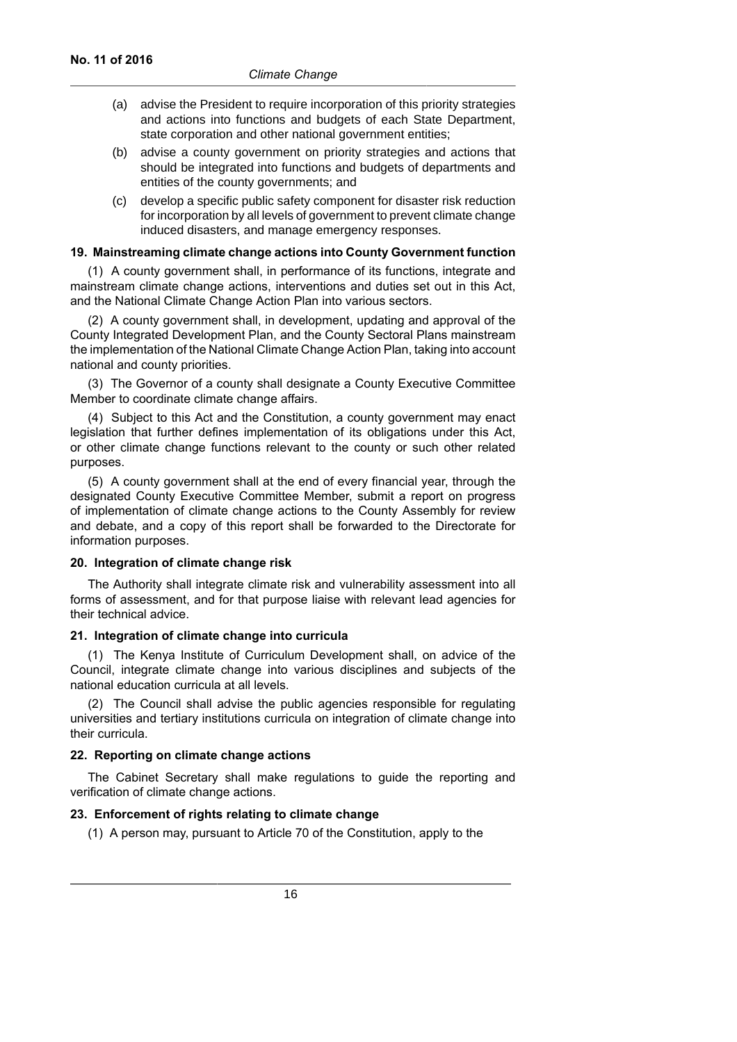- (a) advise the President to require incorporation of this priority strategies and actions into functions and budgets of each State Department, state corporation and other national government entities;
- (b) advise a county government on priority strategies and actions that should be integrated into functions and budgets of departments and entities of the county governments; and
- (c) develop a specific public safety component for disaster risk reduction for incorporation by all levels of government to prevent climate change induced disasters, and manage emergency responses.

#### **19. Mainstreaming climate change actions into County Government function**

(1) A county government shall, in performance of its functions, integrate and mainstream climate change actions, interventions and duties set out in this Act, and the National Climate Change Action Plan into various sectors.

(2) A county government shall, in development, updating and approval of the County Integrated Development Plan, and the County Sectoral Plans mainstream the implementation of the National Climate Change Action Plan, taking into account national and county priorities.

(3) The Governor of a county shall designate a County Executive Committee Member to coordinate climate change affairs.

(4) Subject to this Act and the Constitution, a county government may enact legislation that further defines implementation of its obligations under this Act, or other climate change functions relevant to the county or such other related purposes.

(5) A county government shall at the end of every financial year, through the designated County Executive Committee Member, submit a report on progress of implementation of climate change actions to the County Assembly for review and debate, and a copy of this report shall be forwarded to the Directorate for information purposes.

#### **20. Integration of climate change risk**

The Authority shall integrate climate risk and vulnerability assessment into all forms of assessment, and for that purpose liaise with relevant lead agencies for their technical advice.

### **21. Integration of climate change into curricula**

(1) The Kenya Institute of Curriculum Development shall, on advice of the Council, integrate climate change into various disciplines and subjects of the national education curricula at all levels.

(2) The Council shall advise the public agencies responsible for regulating universities and tertiary institutions curricula on integration of climate change into their curricula.

#### **22. Reporting on climate change actions**

The Cabinet Secretary shall make regulations to guide the reporting and verification of climate change actions.

### **23. Enforcement of rights relating to climate change**

(1) A person may, pursuant to Article 70 of the Constitution, apply to the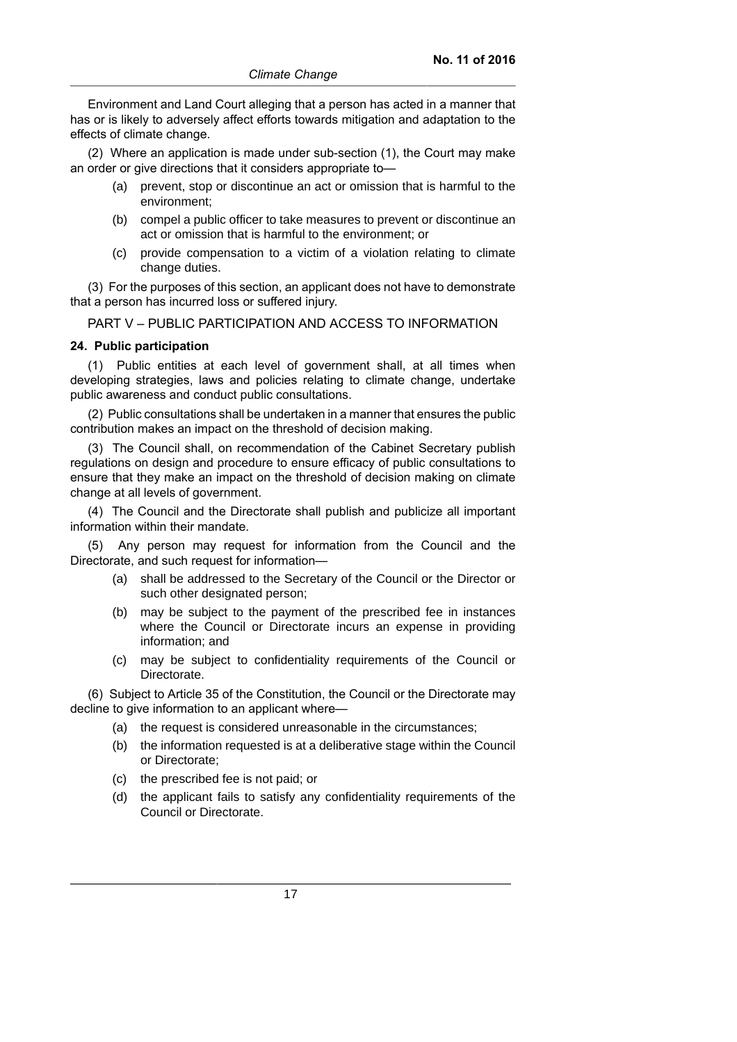Environment and Land Court alleging that a person has acted in a manner that has or is likely to adversely affect efforts towards mitigation and adaptation to the effects of climate change.

(2) Where an application is made under sub-section (1), the Court may make an order or give directions that it considers appropriate to—

- (a) prevent, stop or discontinue an act or omission that is harmful to the environment;
- (b) compel a public officer to take measures to prevent or discontinue an act or omission that is harmful to the environment; or
- (c) provide compensation to a victim of a violation relating to climate change duties.

(3) For the purposes of this section, an applicant does not have to demonstrate that a person has incurred loss or suffered injury.

PART V – PUBLIC PARTICIPATION AND ACCESS TO INFORMATION

### **24. Public participation**

(1) Public entities at each level of government shall, at all times when developing strategies, laws and policies relating to climate change, undertake public awareness and conduct public consultations.

(2) Public consultations shall be undertaken in a manner that ensures the public contribution makes an impact on the threshold of decision making.

(3) The Council shall, on recommendation of the Cabinet Secretary publish regulations on design and procedure to ensure efficacy of public consultations to ensure that they make an impact on the threshold of decision making on climate change at all levels of government.

(4) The Council and the Directorate shall publish and publicize all important information within their mandate.

(5) Any person may request for information from the Council and the Directorate, and such request for information—

- (a) shall be addressed to the Secretary of the Council or the Director or such other designated person;
- (b) may be subject to the payment of the prescribed fee in instances where the Council or Directorate incurs an expense in providing information; and
- (c) may be subject to confidentiality requirements of the Council or Directorate.

(6) Subject to Article 35 of the Constitution, the Council or the Directorate may decline to give information to an applicant where—

- (a) the request is considered unreasonable in the circumstances;
- (b) the information requested is at a deliberative stage within the Council or Directorate;
- (c) the prescribed fee is not paid; or
- (d) the applicant fails to satisfy any confidentiality requirements of the Council or Directorate.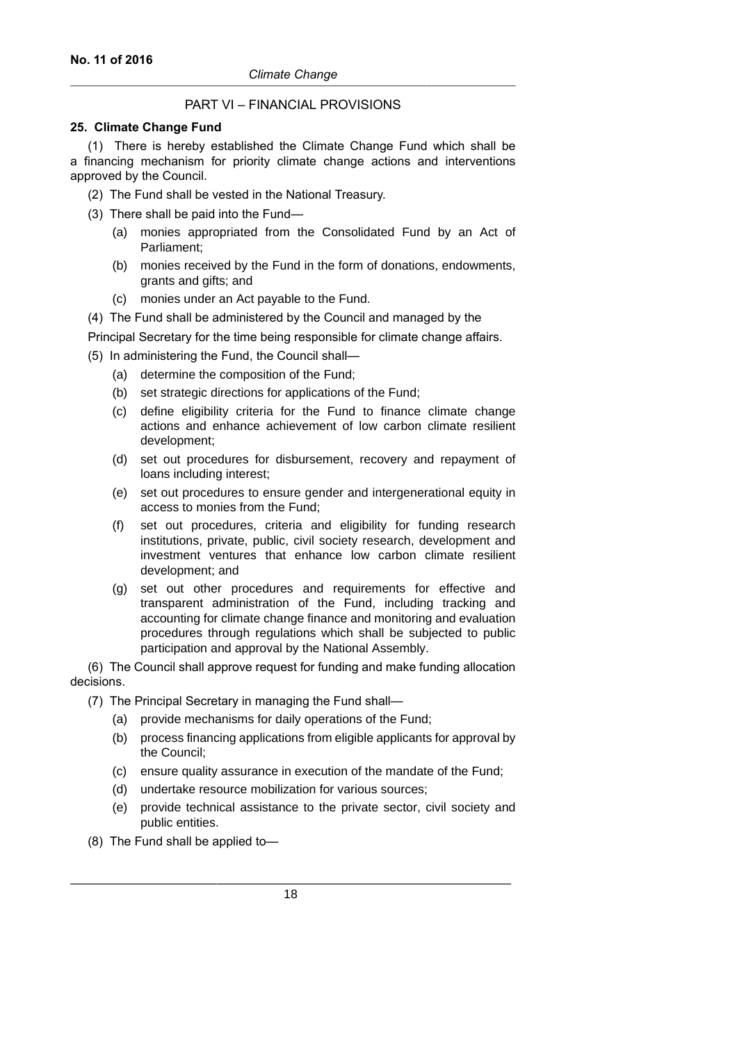# PART VI – FINANCIAL PROVISIONS

### **25. Climate Change Fund**

(1) There is hereby established the Climate Change Fund which shall be a financing mechanism for priority climate change actions and interventions approved by the Council.

- (2) The Fund shall be vested in the National Treasury.
- (3) There shall be paid into the Fund—
	- (a) monies appropriated from the Consolidated Fund by an Act of Parliament;
	- (b) monies received by the Fund in the form of donations, endowments, grants and gifts; and
	- (c) monies under an Act payable to the Fund.
- (4) The Fund shall be administered by the Council and managed by the
- Principal Secretary for the time being responsible for climate change affairs.
- (5) In administering the Fund, the Council shall—
	- (a) determine the composition of the Fund;
		- (b) set strategic directions for applications of the Fund;
		- (c) define eligibility criteria for the Fund to finance climate change actions and enhance achievement of low carbon climate resilient development;
		- (d) set out procedures for disbursement, recovery and repayment of loans including interest;
		- (e) set out procedures to ensure gender and intergenerational equity in access to monies from the Fund;
		- (f) set out procedures, criteria and eligibility for funding research institutions, private, public, civil society research, development and investment ventures that enhance low carbon climate resilient development; and
		- (g) set out other procedures and requirements for effective and transparent administration of the Fund, including tracking and accounting for climate change finance and monitoring and evaluation procedures through regulations which shall be subjected to public participation and approval by the National Assembly.

(6) The Council shall approve request for funding and make funding allocation decisions.

- (7) The Principal Secretary in managing the Fund shall—
	- (a) provide mechanisms for daily operations of the Fund;
	- (b) process financing applications from eligible applicants for approval by the Council;
	- (c) ensure quality assurance in execution of the mandate of the Fund;
	- (d) undertake resource mobilization for various sources;
	- (e) provide technical assistance to the private sector, civil society and public entities.
- (8) The Fund shall be applied to—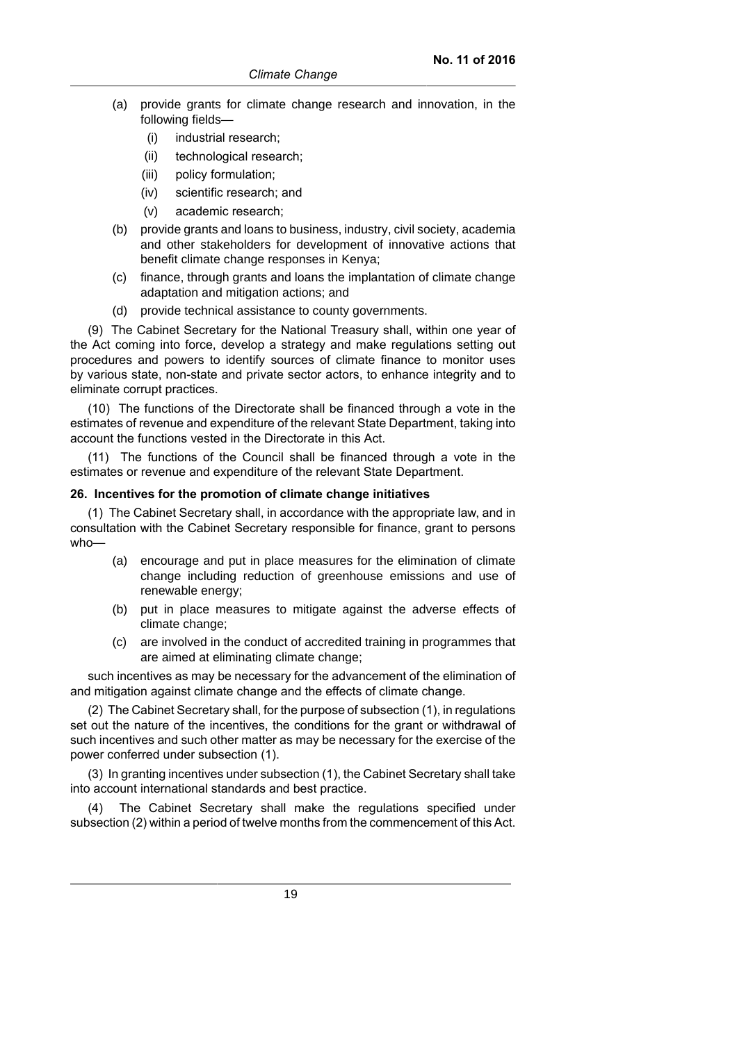- (a) provide grants for climate change research and innovation, in the following fields—
	- (i) industrial research;
	- (ii) technological research;
	- (iii) policy formulation;
	- (iv) scientific research; and
	- (v) academic research;
- (b) provide grants and loans to business, industry, civil society, academia and other stakeholders for development of innovative actions that benefit climate change responses in Kenya;
- (c) finance, through grants and loans the implantation of climate change adaptation and mitigation actions; and
- (d) provide technical assistance to county governments.

(9) The Cabinet Secretary for the National Treasury shall, within one year of the Act coming into force, develop a strategy and make regulations setting out procedures and powers to identify sources of climate finance to monitor uses by various state, non-state and private sector actors, to enhance integrity and to eliminate corrupt practices.

(10) The functions of the Directorate shall be financed through a vote in the estimates of revenue and expenditure of the relevant State Department, taking into account the functions vested in the Directorate in this Act.

(11) The functions of the Council shall be financed through a vote in the estimates or revenue and expenditure of the relevant State Department.

#### **26. Incentives for the promotion of climate change initiatives**

(1) The Cabinet Secretary shall, in accordance with the appropriate law, and in consultation with the Cabinet Secretary responsible for finance, grant to persons who—

- (a) encourage and put in place measures for the elimination of climate change including reduction of greenhouse emissions and use of renewable energy;
- (b) put in place measures to mitigate against the adverse effects of climate change;
- (c) are involved in the conduct of accredited training in programmes that are aimed at eliminating climate change;

such incentives as may be necessary for the advancement of the elimination of and mitigation against climate change and the effects of climate change.

(2) The Cabinet Secretary shall, for the purpose of subsection (1), in regulations set out the nature of the incentives, the conditions for the grant or withdrawal of such incentives and such other matter as may be necessary for the exercise of the power conferred under subsection (1).

(3) In granting incentives under subsection (1), the Cabinet Secretary shall take into account international standards and best practice.

(4) The Cabinet Secretary shall make the regulations specified under subsection (2) within a period of twelve months from the commencement of this Act.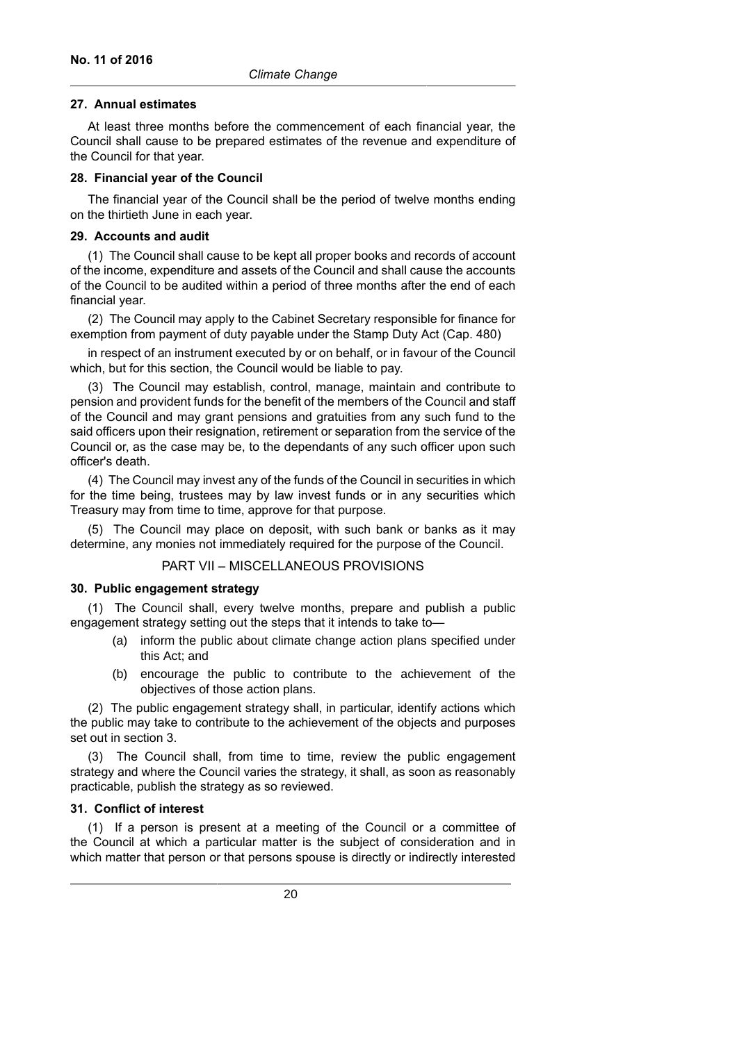### **27. Annual estimates**

At least three months before the commencement of each financial year, the Council shall cause to be prepared estimates of the revenue and expenditure of the Council for that year.

### **28. Financial year of the Council**

The financial year of the Council shall be the period of twelve months ending on the thirtieth June in each year.

### **29. Accounts and audit**

(1) The Council shall cause to be kept all proper books and records of account of the income, expenditure and assets of the Council and shall cause the accounts of the Council to be audited within a period of three months after the end of each financial year.

(2) The Council may apply to the Cabinet Secretary responsible for finance for exemption from payment of duty payable under the Stamp Duty Act (Cap. 480)

in respect of an instrument executed by or on behalf, or in favour of the Council which, but for this section, the Council would be liable to pay.

(3) The Council may establish, control, manage, maintain and contribute to pension and provident funds for the benefit of the members of the Council and staff of the Council and may grant pensions and gratuities from any such fund to the said officers upon their resignation, retirement or separation from the service of the Council or, as the case may be, to the dependants of any such officer upon such officer's death.

(4) The Council may invest any of the funds of the Council in securities in which for the time being, trustees may by law invest funds or in any securities which Treasury may from time to time, approve for that purpose.

(5) The Council may place on deposit, with such bank or banks as it may determine, any monies not immediately required for the purpose of the Council.

# PART VII – MISCELLANEOUS PROVISIONS

### **30. Public engagement strategy**

(1) The Council shall, every twelve months, prepare and publish a public engagement strategy setting out the steps that it intends to take to—

- (a) inform the public about climate change action plans specified under this Act; and
- (b) encourage the public to contribute to the achievement of the objectives of those action plans.

(2) The public engagement strategy shall, in particular, identify actions which the public may take to contribute to the achievement of the objects and purposes set out in section 3.

(3) The Council shall, from time to time, review the public engagement strategy and where the Council varies the strategy, it shall, as soon as reasonably practicable, publish the strategy as so reviewed.

### **31. Conflict of interest**

(1) If a person is present at a meeting of the Council or a committee of the Council at which a particular matter is the subject of consideration and in which matter that person or that persons spouse is directly or indirectly interested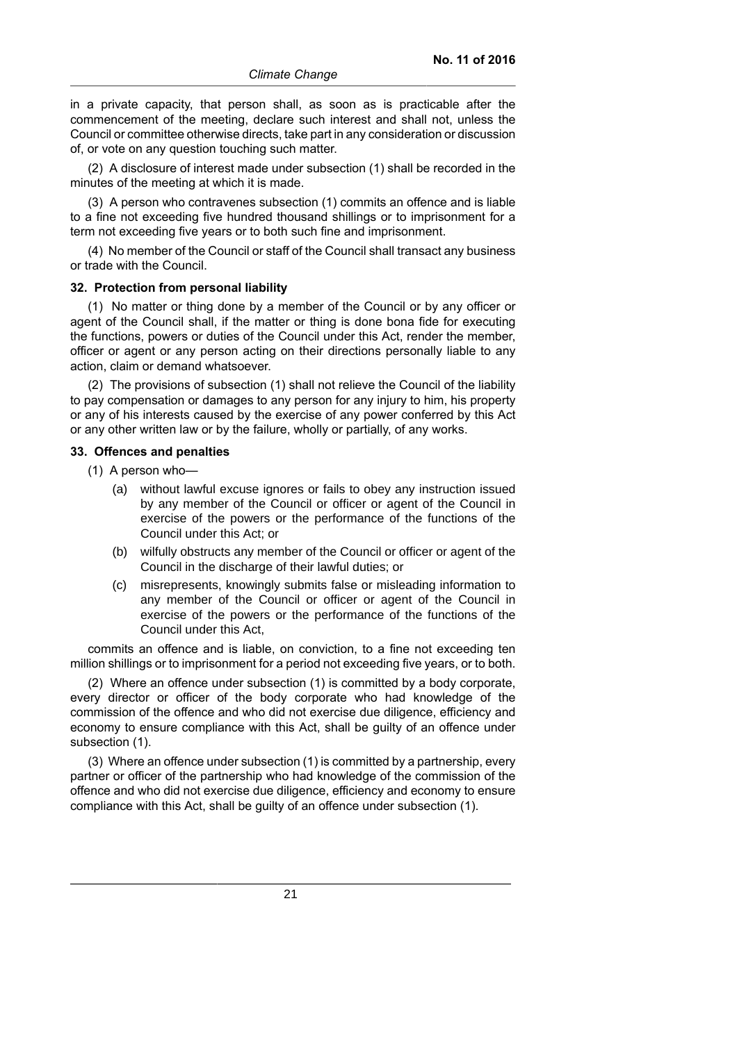in a private capacity, that person shall, as soon as is practicable after the commencement of the meeting, declare such interest and shall not, unless the Council or committee otherwise directs, take part in any consideration or discussion of, or vote on any question touching such matter.

(2) A disclosure of interest made under subsection (1) shall be recorded in the minutes of the meeting at which it is made.

(3) A person who contravenes subsection (1) commits an offence and is liable to a fine not exceeding five hundred thousand shillings or to imprisonment for a term not exceeding five years or to both such fine and imprisonment.

(4) No member of the Council or staff of the Council shall transact any business or trade with the Council.

#### **32. Protection from personal liability**

(1) No matter or thing done by a member of the Council or by any officer or agent of the Council shall, if the matter or thing is done bona fide for executing the functions, powers or duties of the Council under this Act, render the member, officer or agent or any person acting on their directions personally liable to any action, claim or demand whatsoever.

(2) The provisions of subsection (1) shall not relieve the Council of the liability to pay compensation or damages to any person for any injury to him, his property or any of his interests caused by the exercise of any power conferred by this Act or any other written law or by the failure, wholly or partially, of any works.

#### **33. Offences and penalties**

- (1) A person who—
	- (a) without lawful excuse ignores or fails to obey any instruction issued by any member of the Council or officer or agent of the Council in exercise of the powers or the performance of the functions of the Council under this Act; or
	- (b) wilfully obstructs any member of the Council or officer or agent of the Council in the discharge of their lawful duties; or
	- (c) misrepresents, knowingly submits false or misleading information to any member of the Council or officer or agent of the Council in exercise of the powers or the performance of the functions of the Council under this Act,

commits an offence and is liable, on conviction, to a fine not exceeding ten million shillings or to imprisonment for a period not exceeding five years, or to both.

(2) Where an offence under subsection (1) is committed by a body corporate, every director or officer of the body corporate who had knowledge of the commission of the offence and who did not exercise due diligence, efficiency and economy to ensure compliance with this Act, shall be guilty of an offence under subsection (1).

(3) Where an offence under subsection (1) is committed by a partnership, every partner or officer of the partnership who had knowledge of the commission of the offence and who did not exercise due diligence, efficiency and economy to ensure compliance with this Act, shall be guilty of an offence under subsection (1).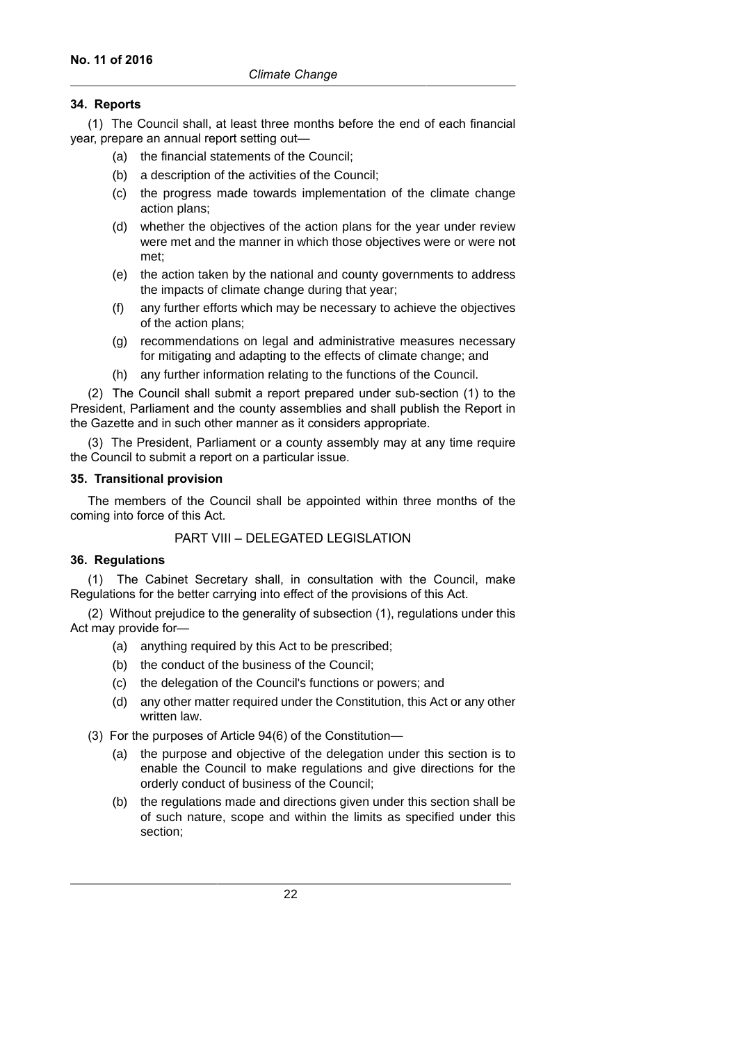### **34. Reports**

(1) The Council shall, at least three months before the end of each financial year, prepare an annual report setting out—

- (a) the financial statements of the Council;
- (b) a description of the activities of the Council;
- (c) the progress made towards implementation of the climate change action plans;
- (d) whether the objectives of the action plans for the year under review were met and the manner in which those objectives were or were not met;
- (e) the action taken by the national and county governments to address the impacts of climate change during that year;
- (f) any further efforts which may be necessary to achieve the objectives of the action plans;
- (g) recommendations on legal and administrative measures necessary for mitigating and adapting to the effects of climate change; and
- (h) any further information relating to the functions of the Council.

(2) The Council shall submit a report prepared under sub-section (1) to the President, Parliament and the county assemblies and shall publish the Report in the Gazette and in such other manner as it considers appropriate.

(3) The President, Parliament or a county assembly may at any time require the Council to submit a report on a particular issue.

### **35. Transitional provision**

The members of the Council shall be appointed within three months of the coming into force of this Act.

### PART VIII – DELEGATED LEGISLATION

### **36. Regulations**

(1) The Cabinet Secretary shall, in consultation with the Council, make Regulations for the better carrying into effect of the provisions of this Act.

(2) Without prejudice to the generality of subsection (1), regulations under this Act may provide for—

- (a) anything required by this Act to be prescribed;
- (b) the conduct of the business of the Council;
- (c) the delegation of the Council's functions or powers; and
- (d) any other matter required under the Constitution, this Act or any other written law.
- (3) For the purposes of Article 94(6) of the Constitution—
	- (a) the purpose and objective of the delegation under this section is to enable the Council to make regulations and give directions for the orderly conduct of business of the Council;
	- (b) the regulations made and directions given under this section shall be of such nature, scope and within the limits as specified under this section;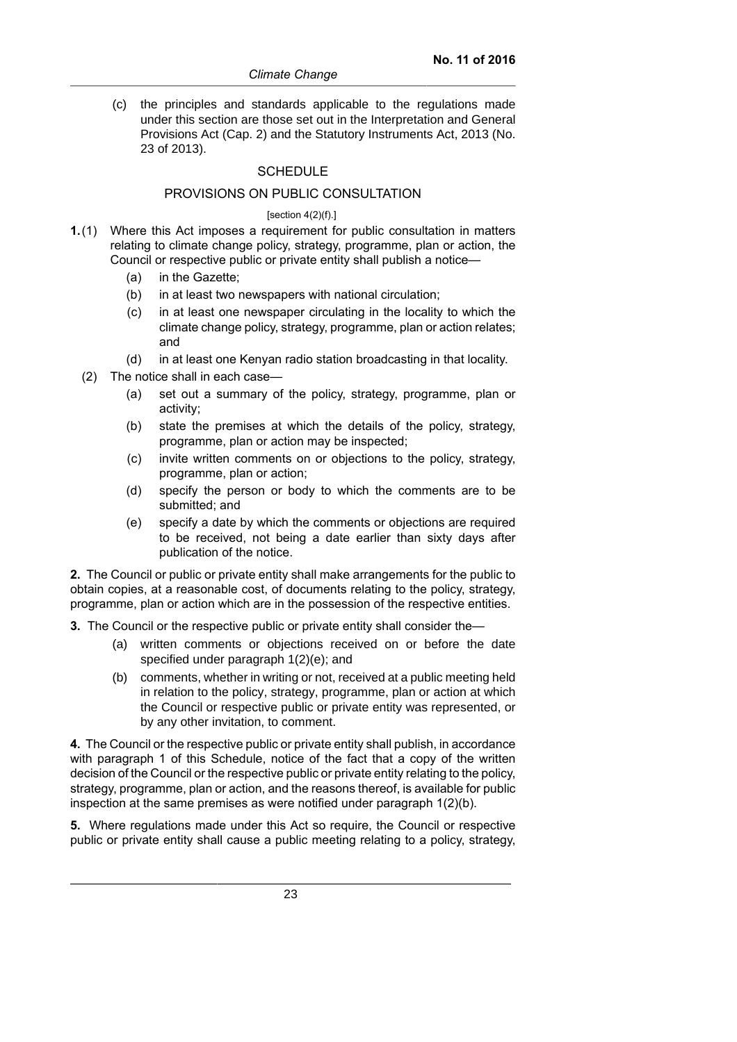(c) the principles and standards applicable to the regulations made under this section are those set out in the Interpretation and General Provisions Act (Cap. 2) and the Statutory Instruments Act, 2013 (No. 23 of 2013).

### **SCHEDULE**

#### PROVISIONS ON PUBLIC CONSULTATION

#### $[section 4(2)(f).]$

- **1.**(1) Where this Act imposes a requirement for public consultation in matters relating to climate change policy, strategy, programme, plan or action, the Council or respective public or private entity shall publish a notice—
	- (a) in the Gazette;
	- (b) in at least two newspapers with national circulation;
	- (c) in at least one newspaper circulating in the locality to which the climate change policy, strategy, programme, plan or action relates; and
	- (d) in at least one Kenyan radio station broadcasting in that locality.
	- (2) The notice shall in each case—
		- (a) set out a summary of the policy, strategy, programme, plan or activity;
		- (b) state the premises at which the details of the policy, strategy, programme, plan or action may be inspected;
		- (c) invite written comments on or objections to the policy, strategy, programme, plan or action;
		- (d) specify the person or body to which the comments are to be submitted; and
		- (e) specify a date by which the comments or objections are required to be received, not being a date earlier than sixty days after publication of the notice.

**2.** The Council or public or private entity shall make arrangements for the public to obtain copies, at a reasonable cost, of documents relating to the policy, strategy, programme, plan or action which are in the possession of the respective entities.

**3.** The Council or the respective public or private entity shall consider the—

- (a) written comments or objections received on or before the date specified under paragraph 1(2)(e); and
- (b) comments, whether in writing or not, received at a public meeting held in relation to the policy, strategy, programme, plan or action at which the Council or respective public or private entity was represented, or by any other invitation, to comment.

**4.** The Council or the respective public or private entity shall publish, in accordance with paragraph 1 of this Schedule, notice of the fact that a copy of the written decision of the Council or the respective public or private entity relating to the policy, strategy, programme, plan or action, and the reasons thereof, is available for public inspection at the same premises as were notified under paragraph 1(2)(b).

**5.** Where regulations made under this Act so require, the Council or respective public or private entity shall cause a public meeting relating to a policy, strategy,